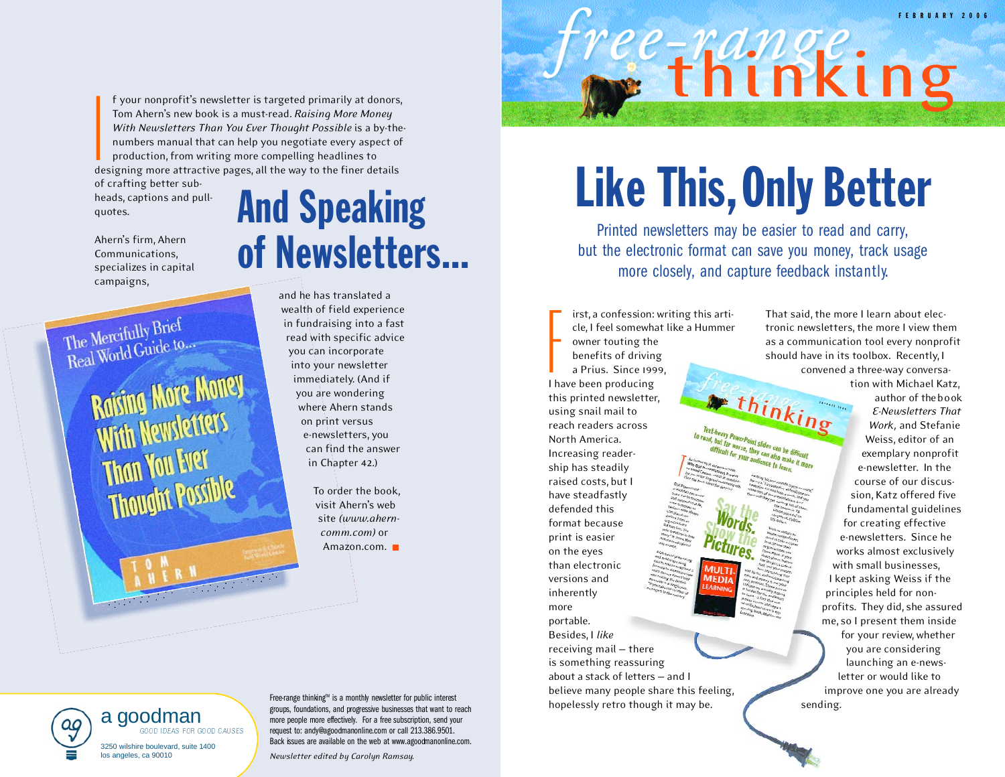F E B R U A R Y 2 0 0 6

f your nonprofit's newsletter is targeted primarily at donors, Tom Ahern's new book is a must-read. *Raising More Money With Newsletters Than You Ever Thought Possible* is a by-thenumbers manual that can help you negotiate every aspect of production, from writing more compelling headlines to designing more attractive pages, all the way to the finer details

of crafting better subheads, captions and pullquotes. I

Ahern's firm, Ahern Communications, specializes in capital campaigns,

## The Mercifully Brief The Mercifully Brief

**Raising More Money Raising more meeting Than You Every Thought Possible** 

# And Speaking of Newsletters...

and he has translated a wealth of field experience in fundraising into a fast read with specific advice you can incorporate into your newsletter immediately. (And if you are wondering where Ahern stands on print versus e-newsletters, you can find the answer in Chapter 42.)

> To order the book, visit Ahern's web site *(www.aherncomm.com)* or Amazon.com.

# **Like This, Only Better**

**thinking**

Printed newsletters may be easier to read and carry, but the electronic format can save you money, track usage more closely, and capture feedback instantly.

The worse, they can also make<br>the for your audience to make<br>convenience to learn,

F<br>I h irst, a confession: writing this article, I feel somewhat like a Hummer owner touting the benefits of driving a Prius. Since 1999, I have been producing this printed newsletter, using snail mail to Text-heavy PowerPoint slides can be difficult<br>read, but far worse, they can also difficult<br>we will be your audience and be a make the reach readers across In the Leary PowerPoint sides can be difficult<br>difficult for you, they can also make the companion of the companion of the companion of the companion of the<br>companion of the companion of the companion of the companion of t North America. Increasing readership has steadily raised costs, but I have steadfastly defended this format because print is easier on the eyes than electronic versions and inherently more portable. Besides, I *like* receiving mail — there is something reassuring about a stack of letters - and I believe many people share this feeling, hopelessly retro though it may be.

That said, the more I learn about electronic newsletters, the more I view them as a communication tool every nonprofit should have in its toolbox. Recently, I

convened a three-way conversation with Michael Katz, thinking

author of the book *E - Newsl et ters That Work ,* and Stefanie Weiss, editor of an exemplary nonprofit e-newsletter. In the course of our discussion, Katz offered five fundamental guidelines for creating effective e-newsletters. Since he works almost exclusively with small businesses, I kept asking Weiss if the principles held for nonprofits. They did, she assured me, so I present them inside for your review, whether you are considering launching an e-news-

letter or would like to improve one you are already sending.



Free-range thinking™ is a monthly newsletter for public interest groups, foundations, and progressive businesses that want to reach more people more effectively. For a free subscription, send your request to: andy@agoodmanonline.com or call 213.386.9501. Back issues are available on the web at www.agoodmanonline.com.

*Newsletter edited by Carolyn Ramsay.*